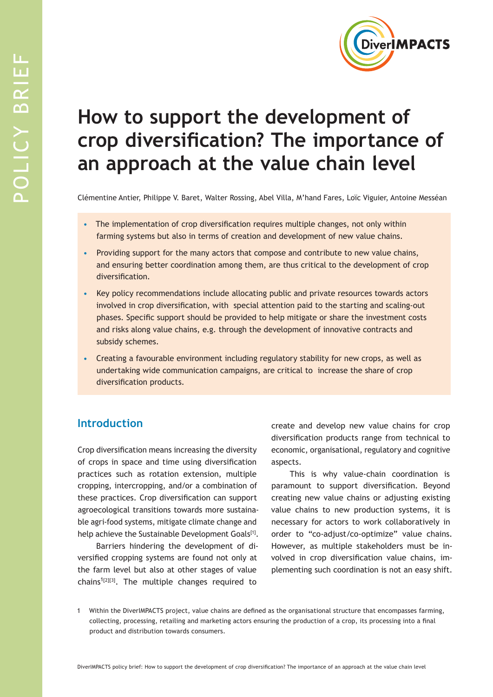

# **How to support the development of crop diversification? The importance of an approach at the value chain level**

Clémentine Antier, Philippe V. Baret, Walter Rossing, Abel Villa, M'hand Fares, Loïc Viguier, Antoine Messéan

- The implementation of crop diversification requires multiple changes, not only within farming systems but also in terms of creation and development of new value chains.
- Providing support for the many actors that compose and contribute to new value chains, and ensuring better coordination among them, are thus critical to the development of crop diversification.
- Key policy recommendations include allocating public and private resources towards actors involved in crop diversification, with special attention paid to the starting and scaling-out phases. Specific support should be provided to help mitigate or share the investment costs and risks along value chains, e.g. through the development of innovative contracts and subsidy schemes.
- Creating a favourable environment including regulatory stability for new crops, as well as undertaking wide communication campaigns, are critical to increase the share of crop diversification products.

# **Introduction**

Crop diversification means increasing the diversity of crops in space and time using diversification practices such as rotation extension, multiple cropping, intercropping, and/or a combination of these practices. Crop diversification can support agroecological transitions towards more sustainable agri-food systems, mitigate climate change and help achieve the Sustainable Development Goals<sup>[1]</sup>.

Barriers hindering the development of diversified cropping systems are found not only at the farm level but also at other stages of value chains<sup>1[2][3]</sup>. The multiple changes required to

create and develop new value chains for crop diversification products range from technical to economic, organisational, regulatory and cognitive aspects.

This is why value-chain coordination is paramount to support diversification. Beyond creating new value chains or adjusting existing value chains to new production systems, it is necessary for actors to work collaboratively in order to "co-adjust/co-optimize" value chains. However, as multiple stakeholders must be involved in crop diversification value chains, implementing such coordination is not an easy shift.

<sup>1</sup> Within the DiverIMPACTS project, value chains are defined as the organisational structure that encompasses farming, collecting, processing, retailing and marketing actors ensuring the production of a crop, its processing into a final product and distribution towards consumers.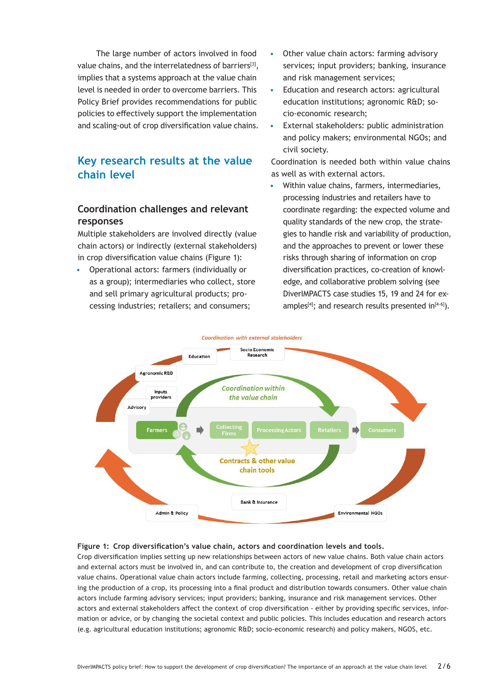The large number of actors involved in food value chains, and the interrelatedness of barriers<sup>[3]</sup>, implies that a systems approach at the value chain level is needed in order to overcome barriers. This Policy Brief provides recommendations for public policies to effectively support the implementation and scaling-out of crop diversification value chains.

# **Key research results at the value chain level**

### **Coordination challenges and relevant responses**

Multiple stakeholders are involved directly (value chain actors) or indirectly (external stakeholders) in crop diversification value chains (Figure 1):

• Operational actors: farmers (individually or as a group); intermediaries who collect, store and sell primary agricultural products; processing industries; retailers; and consumers;

- Other value chain actors: farming advisory services; input providers; banking, insurance and risk management services;
- Education and research actors: agricultural education institutions; agronomic R&D; socio-economic research;
- External stakeholders: public administration and policy makers; environmental NGOs; and civil society.

Coordination is needed both within value chains as well as with external actors.

• Within value chains, farmers, intermediaries, processing industries and retailers have to coordinate regarding: the expected volume and quality standards of the new crop, the strategies to handle risk and variability of production, and the approaches to prevent or lower these risks through sharing of information on crop diversification practices, co-creation of knowledge, and collaborative problem solving (see DiverIMPACTS case studies 15, 19 and 24 for examples<sup>[4]</sup>; and research results presented  $in^{[4-6]}$ ).



#### **Figure 1: Crop diversification's value chain, actors and coordination levels and tools.**

Crop diversification implies setting up new relationships between actors of new value chains. Both value chain actors and external actors must be involved in, and can contribute to, the creation and development of crop diversification value chains. Operational value chain actors include farming, collecting, processing, retail and marketing actors ensuring the production of a crop, its processing into a final product and distribution towards consumers. Other value chain actors include farming advisory services; input providers; banking, insurance and risk management services. Other actors and external stakeholders affect the context of crop diversification - either by providing specific services, information or advice, or by changing the societal context and public policies. This includes education and research actors (e.g. agricultural education institutions; agronomic R&D; socio-economic research) and policy makers, NGOS, etc.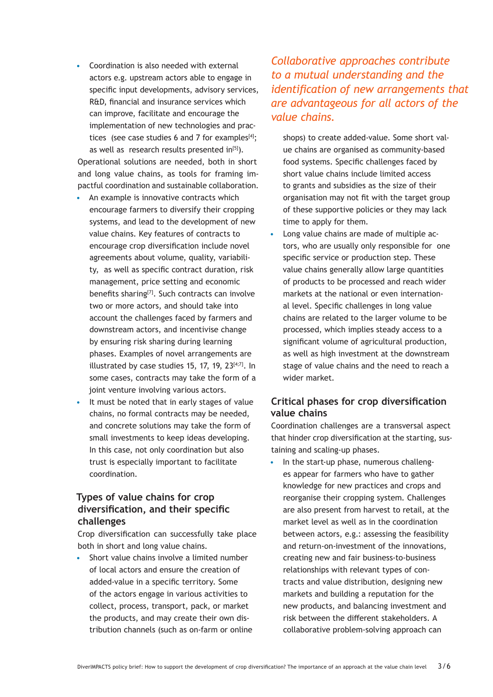• Coordination is also needed with external actors e.g. upstream actors able to engage in specific input developments, advisory services, R&D, financial and insurance services which can improve, facilitate and encourage the implementation of new technologies and practices (see case studies 6 and 7 for examples $[4]$ ; as well as research results presented in<sup>[5]</sup>). Operational solutions are needed, both in short and long value chains, as tools for framing im-

pactful coordination and sustainable collaboration.

- An example is innovative contracts which encourage farmers to diversify their cropping systems, and lead to the development of new value chains. Key features of contracts to encourage crop diversification include novel agreements about volume, quality, variability, as well as specific contract duration, risk management, price setting and economic benefits sharing<sup>[7]</sup>. Such contracts can involve two or more actors, and should take into account the challenges faced by farmers and downstream actors, and incentivise change by ensuring risk sharing during learning phases. Examples of novel arrangements are illustrated by case studies 15, 17, 19,  $23^{[4;7]}$ . In some cases, contracts may take the form of a joint venture involving various actors.
- It must be noted that in early stages of value chains, no formal contracts may be needed, and concrete solutions may take the form of small investments to keep ideas developing. In this case, not only coordination but also trust is especially important to facilitate coordination.

## **Types of value chains for crop diversification, and their specific challenges**

Crop diversification can successfully take place both in short and long value chains.

Short value chains involve a limited number of local actors and ensure the creation of added-value in a specific territory. Some of the actors engage in various activities to collect, process, transport, pack, or market the products, and may create their own distribution channels (such as on-farm or online *Collaborative approaches contribute to a mutual understanding and the identification of new arrangements that are advantageous for all actors of the value chains.*

shops) to create added-value. Some short value chains are organised as community-based food systems. Specific challenges faced by short value chains include limited access to grants and subsidies as the size of their organisation may not fit with the target group of these supportive policies or they may lack time to apply for them.

• Long value chains are made of multiple actors, who are usually only responsible for one specific service or production step. These value chains generally allow large quantities of products to be processed and reach wider markets at the national or even international level. Specific challenges in long value chains are related to the larger volume to be processed, which implies steady access to a significant volume of agricultural production, as well as high investment at the downstream stage of value chains and the need to reach a wider market.

## **Critical phases for crop diversification value chains**

Coordination challenges are a transversal aspect that hinder crop diversification at the starting, sustaining and scaling-up phases.

• In the start-up phase, numerous challenges appear for farmers who have to gather knowledge for new practices and crops and reorganise their cropping system. Challenges are also present from harvest to retail, at the market level as well as in the coordination between actors, e.g.: assessing the feasibility and return-on-investment of the innovations, creating new and fair business-to-business relationships with relevant types of contracts and value distribution, designing new markets and building a reputation for the new products, and balancing investment and risk between the different stakeholders. A collaborative problem-solving approach can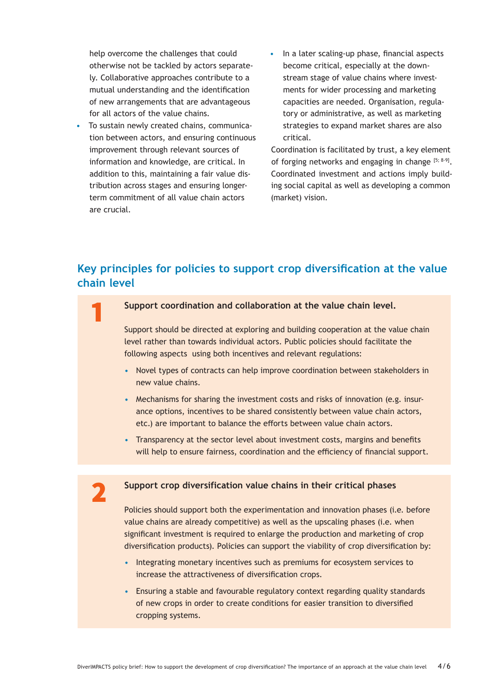help overcome the challenges that could otherwise not be tackled by actors separately. Collaborative approaches contribute to a mutual understanding and the identification of new arrangements that are advantageous for all actors of the value chains.

- To sustain newly created chains, communication between actors, and ensuring continuous improvement through relevant sources of information and knowledge, are critical. In addition to this, maintaining a fair value distribution across stages and ensuring longerterm commitment of all value chain actors are crucial.
- In a later scaling-up phase, financial aspects become critical, especially at the downstream stage of value chains where investments for wider processing and marketing capacities are needed. Organisation, regulatory or administrative, as well as marketing strategies to expand market shares are also critical.

Coordination is facilitated by trust, a key element of forging networks and engaging in change  $[5; 8-9]$ . Coordinated investment and actions imply building social capital as well as developing a common (market) vision.

# **Key principles for policies to support crop diversification at the value chain level**

### Support coordination and collaboration at the value chain level.

Support should be directed at exploring and building cooperation at the value chain level rather than towards individual actors. Public policies should facilitate the following aspects using both incentives and relevant regulations:

- Novel types of contracts can help improve coordination between stakeholders in new value chains.
- Mechanisms for sharing the investment costs and risks of innovation (e.g. insurance options, incentives to be shared consistently between value chain actors, etc.) are important to balance the efforts between value chain actors.
- Transparency at the sector level about investment costs, margins and benefits will help to ensure fairness, coordination and the efficiency of financial support.

### Support crop diversification value chains in their critical phases

Policies should support both the experimentation and innovation phases (i.e. before value chains are already competitive) as well as the upscaling phases (i.e. when significant investment is required to enlarge the production and marketing of crop diversification products). Policies can support the viability of crop diversification by:

- Integrating monetary incentives such as premiums for ecosystem services to increase the attractiveness of diversification crops.
- Ensuring a stable and favourable regulatory context regarding quality standards of new crops in order to create conditions for easier transition to diversified cropping systems.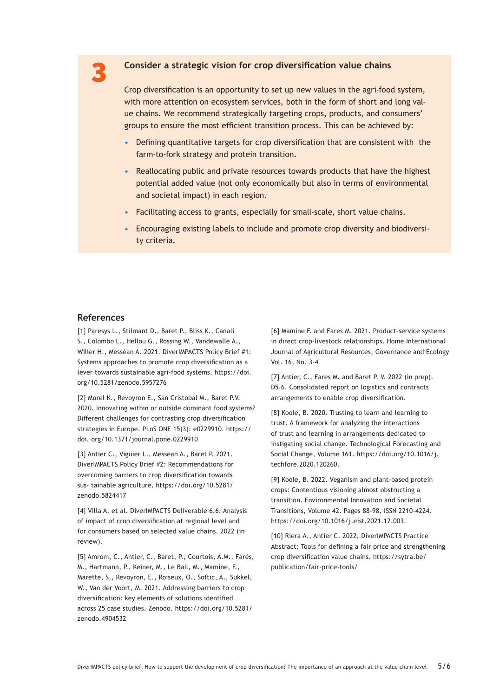### 3 **Consider a strategic vision for crop diversification value chains**

Crop diversification is an opportunity to set up new values in the agri-food system, with more attention on ecosystem services, both in the form of short and long value chains. We recommend strategically targeting crops, products, and consumers' groups to ensure the most efficient transition process. This can be achieved by:

- Defining quantitative targets for crop diversification that are consistent with the farm-to-fork strategy and protein transition.
- Reallocating public and private resources towards products that have the highest potential added value (not only economically but also in terms of environmental and societal impact) in each region.
- Facilitating access to grants, especially for small-scale, short value chains.
- Encouraging existing labels to include and promote crop diversity and biodiversity criteria.

#### **References**

[1] Paresys L., Stilmant D., Baret P., Bliss K., Canali S., Colombo L., Hellou G., Rossing W., Vandewalle A., Willer H., Messéan A. 2021. DiverIMPACTS Policy Brief #1: Systems approaches to promote crop diversification as a lever towards sustainable agri-food systems. https://doi. org/10.5281/zenodo.5957276

[2] Morel K., Revoyron E., San Cristobal M., Baret P.V. 2020. Innovating within or outside dominant food systems? Different challenges for contrasting crop diversification strategies in Europe. PLoS ONE 15(3): e0229910. https:// doi. org/10.1371/journal.pone.0229910

[3] Antier C., Viguier L., Messean A., Baret P. 2021. DiverIMPACTS Policy Brief #2: Recommendations for overcoming barriers to crop diversification towards sus- tainable agriculture. https://doi.org/10.5281/ zenodo.5824417

[4] Villa A. et al. DiverIMPACTS Deliverable 6.6: Analysis of impact of crop diversification at regional level and for consumers based on selected value chains. 2022 (in review).

[5] Amrom, C., Antier, C., Baret, P., Courtois, A.M., Farès, M., Hartmann, P., Keiner, M., Le Bail, M., Mamine, F., Marette, S., Revoyron, E., Roiseux, O., Softic, A., Sukkel, W., Van der Voort, M. 2021. Addressing barriers to crop diversification: key elements of solutions identified across 25 case studies. Zenodo. https://doi.org/10.5281/ zenodo.4904532

[6] Mamine F. and Fares M. 2021. Product-service systems in direct crop-livestock relationships. Home International Journal of Agricultural Resources, Governance and Ecology Vol. 16, No. 3-4

[7] Antier, C., Fares M. and Baret P. V. 2022 (in prep). D5.6. Consolidated report on logistics and contracts arrangements to enable crop diversification.

[8] Koole, B. 2020. Trusting to learn and learning to trust. A framework for analyzing the interactions of trust and learning in arrangements dedicated to instigating social change. Technological Forecasting and Social Change, Volume 161. https://doi.org/10.1016/j. techfore.2020.120260.

[9] Koole, B. 2022. Veganism and plant-based protein crops: Contentious visioning almost obstructing a transition. Environmental Innovation and Societal Transitions, Volume 42. Pages 88-98, ISSN 2210-4224. https://doi.org/10.1016/j.eist.2021.12.003.

[10] Riera A., Antier C. 2022. DiverIMPACTS Practice Abstract: Tools for defining a fair price and strengthening crop diversification value chains. https://sytra.be/ publication/fair-price-tools/